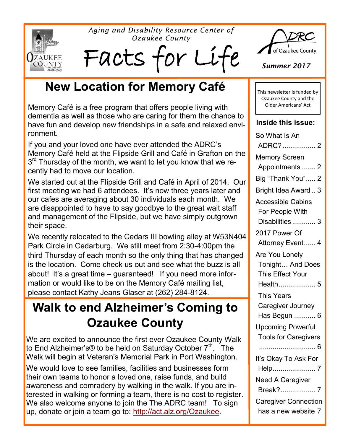**ZAUKEE**<br>COUNTY

*Aging and Disability Resource Center of Ozaukee County*

Facts for Li:



*Summer 2017*

This newsletter is funded by Ozaukee County and the Older Americans' Act

**Inside this issue:**

### **New Location for Memory Café**

Memory Café is a free program that offers people living with dementia as well as those who are caring for them the chance to have fun and develop new friendships in a safe and relaxed environment.

If you and your loved one have ever attended the ADRC's Memory Café held at the Flipside Grill and Café in Grafton on the 3<sup>rd</sup> Thursday of the month, we want to let you know that we recently had to move our location.

We started out at the Flipside Grill and Café in April of 2014. Our first meeting we had 6 attendees. It's now three years later and our cafes are averaging about 30 individuals each month. We are disappointed to have to say goodbye to the great wait staff and management of the Flipside, but we have simply outgrown their space.

We recently relocated to the Cedars III bowling alley at W53N404 Park Circle in Cedarburg. We still meet from 2:30-4:00pm the third Thursday of each month so the only thing that has changed is the location. Come check us out and see what the buzz is all about! It's a great time – guaranteed! If you need more information or would like to be on the Memory Café mailing list, please contact Kathy Jeans Glaser at (262) 284-8124.

### **Walk to end Alzheimer's Coming to Ozaukee County**

We are excited to announce the first ever Ozaukee County Walk to End Alzheimer's® to be held on Saturday October  $7<sup>th</sup>$ . The Walk will begin at Veteran's Memorial Park in Port Washington.

We would love to see families, facilities and businesses form their own teams to honor a loved one, raise funds, and build awareness and comradery by walking in the walk. If you are interested in walking or forming a team, there is no cost to register. We also welcome anyone to join the The ADRC team! To sign up, donate or join a team go to: [http://act.alz.org/Ozaukee.](http://act.alz.org/Ozaukee)

So What Is An ADRC?................. 2 Memory Screen Appointments ....... 2 Big "Thank You"..... 2 Bright Idea Award .. 3 Accessible Cabins For People With Disabilities ............ 3 2017 Power Of Attorney Event...... 4 Are You Lonely Tonight… And Does This Effect Your Health................... 5 This Years Caregiver Journey Has Begun ........... 6 Upcoming Powerful Tools for Caregivers ............................. 6 It's Okay To Ask For Help...................... 7 Need A Caregiver Break?.................. 7 Caregiver Connection has a new website 7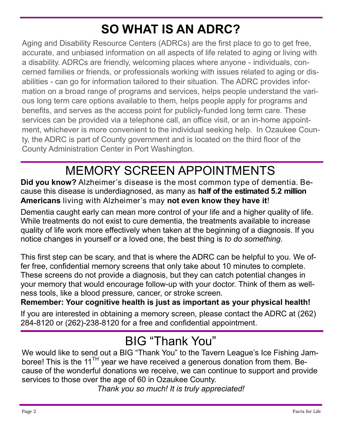### **SO WHAT IS AN ADRC?**

Aging and Disability Resource Centers (ADRCs) are the first place to go to get free, accurate, and unbiased information on all aspects of life related to aging or living with a disability. ADRCs are friendly, welcoming places where anyone - individuals, concerned families or friends, or professionals working with issues related to aging or disabilities - can go for information tailored to their situation. The ADRC provides information on a broad range of programs and services, helps people understand the various long term care options available to them, helps people apply for programs and benefits, and serves as the access point for publicly-funded long term care. These services can be provided via a telephone call, an office visit, or an in-home appointment, whichever is more convenient to the individual seeking help. In Ozaukee County, the ADRC is part of County government and is located on the third floor of the County Administration Center in Port Washington.

### MEMORY SCREEN APPOINTMENTS

**Did you know?** Alzheimer's disease is the most common type of dementia. Because this disease is underdiagnosed, as many as **half of the estimated 5.2 million Americans** living with Alzheimer's may **not even know they have it**!

Dementia caught early can mean more control of your life and a higher quality of life. While treatments do not exist to cure dementia, the treatments available to increase quality of life work more effectively when taken at the beginning of a diagnosis. If you notice changes in yourself or a loved one, the best thing is *to do something*.

This first step can be scary, and that is where the ADRC can be helpful to you. We offer free, confidential memory screens that only take about 10 minutes to complete. These screens do not provide a diagnosis, but they can catch potential changes in your memory that would encourage follow-up with your doctor. Think of them as wellness tools, like a blood pressure, cancer, or stroke screen.

#### **Remember: Your cognitive health is just as important as your physical health!**

If you are interested in obtaining a memory screen, please contact the ADRC at (262) 284-8120 or (262)-238-8120 for a free and confidential appointment.

### BIG "Thank You"

We would like to send out a BIG "Thank You" to the Tavern League's Ice Fishing Jamboree! This is the 11 $^{TH}$  year we have received a generous donation from them. Because of the wonderful donations we receive, we can continue to support and provide services to those over the age of 60 in Ozaukee County.

*Thank you so much! It is truly appreciated!*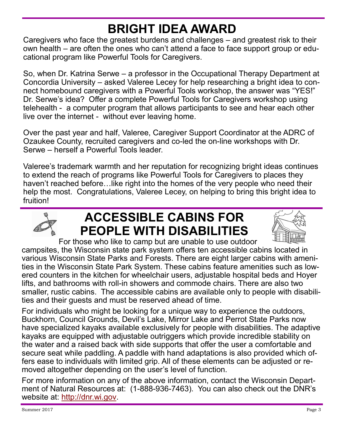### **BRIGHT IDEA AWARD**

Caregivers who face the greatest burdens and challenges – and greatest risk to their own health – are often the ones who can't attend a face to face support group or educational program like Powerful Tools for Caregivers.

So, when Dr. Katrina Serwe – a professor in the Occupational Therapy Department at Concordia University – asked Valeree Lecey for help researching a bright idea to connect homebound caregivers with a Powerful Tools workshop, the answer was "YES!" Dr. Serwe's idea? Offer a complete Powerful Tools for Caregivers workshop using telehealth - a computer program that allows participants to see and hear each other live over the internet - without ever leaving home.

Over the past year and half, Valeree, Caregiver Support Coordinator at the ADRC of Ozaukee County, recruited caregivers and co-led the on-line workshops with Dr. Serwe – herself a Powerful Tools leader.

Valeree's trademark warmth and her reputation for recognizing bright ideas continues to extend the reach of programs like Powerful Tools for Caregivers to places they haven't reached before…like right into the homes of the very people who need their help the most. Congratulations, Valeree Lecey, on helping to bring this bright idea to fruition!



### **ACCESSIBLE CABINS FOR PEOPLE WITH DISABILITIES**



For those who like to camp but are unable to use outdoor

campsites, the Wisconsin state park system offers ten accessible cabins located in various Wisconsin State Parks and Forests. There are eight larger cabins with amenities in the Wisconsin State Park System. These cabins feature amenities such as lowered counters in the kitchen for wheelchair users, adjustable hospital beds and Hoyer lifts, and bathrooms with roll-in showers and commode chairs. There are also two smaller, rustic cabins. The accessible cabins are available only to people with disabilities and their guests and must be reserved ahead of time.

For individuals who might be looking for a unique way to experience the outdoors, Buckhorn, Council Grounds, Devil's Lake, Mirror Lake and Perrot State Parks now have specialized kayaks available exclusively for people with disabilities. The adaptive kayaks are equipped with adjustable outriggers which provide incredible stability on the water and a raised back with side supports that offer the user a comfortable and secure seat while paddling. A paddle with hand adaptations is also provided which offers ease to individuals with limited grip. All of these elements can be adjusted or removed altogether depending on the user's level of function.

For more information on any of the above information, contact the Wisconsin Department of Natural Resources at: (1-888-936-7463). You can also check out the DNR's website at: [http://dnr.wi.gov.](http://dnr.wi.gov)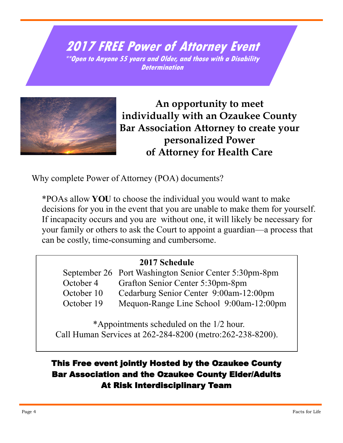**2017 FREE Power of Attorney Event \*\*Open to Anyone 55 years and Older, and those with a Disability Determination**



**An opportunity to meet individually with an Ozaukee County Bar Association Attorney to create your personalized Power of Attorney for Health Care**

Why complete Power of Attorney (POA) documents?

\*POAs allow **YOU** to choose the individual you would want to make decisions for you in the event that you are unable to make them for yourself. If incapacity occurs and you are without one, it will likely be necessary for your family or others to ask the Court to appoint a guardian—a process that can be costly, time-consuming and cumbersome.

#### **2017 Schedule**

September 26 Port Washington Senior Center 5:30pm-8pm October 4 Grafton Senior Center 5:30pm-8pm October 10 Cedarburg Senior Center 9:00am-12:00pm October 19 Mequon-Range Line School 9:00am-12:00pm

 \*Appointments scheduled on the 1/2 hour. Call Human Services at 262-284-8200 (metro:262-238-8200).

#### This Free event jointly Hosted by the Ozaukee County Bar Association and the Ozaukee County Elder/Adults At Risk Interdisciplinary Team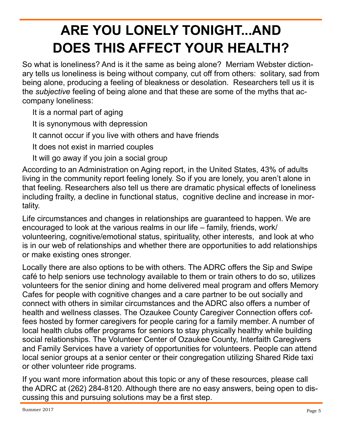# **ARE YOU LONELY TONIGHT...AND DOES THIS AFFECT YOUR HEALTH?**

So what is loneliness? And is it the same as being alone? Merriam Webster dictionary tells us loneliness is being without company, cut off from others: solitary, sad from being alone, producing a feeling of bleakness or desolation. Researchers tell us it is the *subjective* feeling of being alone and that these are some of the myths that accompany loneliness:

It is a normal part of aging

It is synonymous with depression

It cannot occur if you live with others and have friends

It does not exist in married couples

It will go away if you join a social group

According to an Administration on Aging report, in the United States, 43% of adults living in the community report feeling lonely. So if you are lonely, you aren't alone in that feeling. Researchers also tell us there are dramatic physical effects of loneliness including frailty, a decline in functional status, cognitive decline and increase in mortality.

Life circumstances and changes in relationships are guaranteed to happen. We are encouraged to look at the various realms in our life – family, friends, work/ volunteering, cognitive/emotional status, spirituality, other interests, and look at who is in our web of relationships and whether there are opportunities to add relationships or make existing ones stronger.

Locally there are also options to be with others. The ADRC offers the Sip and Swipe café to help seniors use technology available to them or train others to do so, utilizes volunteers for the senior dining and home delivered meal program and offers Memory Cafes for people with cognitive changes and a care partner to be out socially and connect with others in similar circumstances and the ADRC also offers a number of health and wellness classes. The Ozaukee County Caregiver Connection offers coffees hosted by former caregivers for people caring for a family member. A number of local health clubs offer programs for seniors to stay physically healthy while building social relationships. The Volunteer Center of Ozaukee County, Interfaith Caregivers and Family Services have a variety of opportunities for volunteers. People can attend local senior groups at a senior center or their congregation utilizing Shared Ride taxi or other volunteer ride programs.

If you want more information about this topic or any of these resources, please call the ADRC at (262) 284-8120. Although there are no easy answers, being open to discussing this and pursuing solutions may be a first step.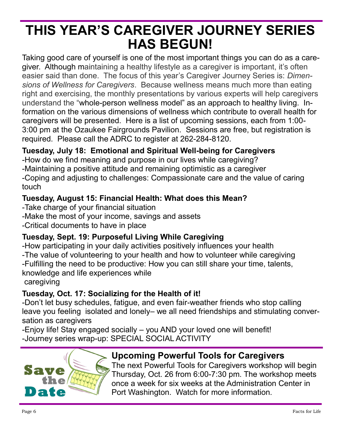### **THIS YEAR'S CAREGIVER JOURNEY SERIES HAS BEGUN!**

Taking good care of yourself is one of the most important things you can do as a caregiver. Although maintaining a healthy lifestyle as a caregiver is important, it's often easier said than done. The focus of this year's Caregiver Journey Series is: *Dimensions of Wellness for Caregivers*. Because wellness means much more than eating right and exercising, the monthly presentations by various experts will help caregivers understand the "whole-person wellness model" as an approach to healthy living. Information on the various dimensions of wellness which contribute to overall health for caregivers will be presented. Here is a list of upcoming sessions, each from 1:00- 3:00 pm at the Ozaukee Fairgrounds Pavilion. Sessions are free, but registration is required. Please call the ADRC to register at 262-284-8120.

#### **Tuesday, July 18: Emotional and Spiritual Well-being for Caregivers**

-How do we find meaning and purpose in our lives while caregiving? -Maintaining a positive attitude and remaining optimistic as a caregiver -Coping and adjusting to challenges: Compassionate care and the value of caring touch

#### **Tuesday, August 15: Financial Health: What does this Mean?**

- -Take charge of your financial situation
- -Make the most of your income, savings and assets
- -Critical documents to have in place

#### **Tuesday, Sept. 19: Purposeful Living While Caregiving**

-How participating in your daily activities positively influences your health -The value of volunteering to your health and how to volunteer while caregiving -Fulfilling the need to be productive: How you can still share your time, talents, knowledge and life experiences while caregiving

#### **Tuesday, Oct. 17: Socializing for the Health of it!**

-Don't let busy schedules, fatigue, and even fair-weather friends who stop calling leave you feeling isolated and lonely– we all need friendships and stimulating conversation as caregivers

-Enjoy life! Stay engaged socially – you AND your loved one will benefit! -Journey series wrap-up: SPECIAL SOCIAL ACTIVITY



#### **Upcoming Powerful Tools for Caregivers**

The next Powerful Tools for Caregivers workshop will begin Thursday, Oct. 26 from 6:00-7:30 pm. The workshop meets once a week for six weeks at the Administration Center in Port Washington. Watch for more information.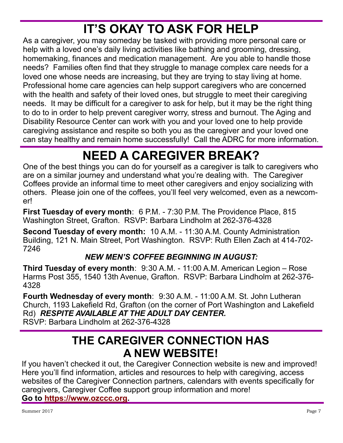## **IT'S OKAY TO ASK FOR HELP**

As a caregiver, you may someday be tasked with providing more personal care or help with a loved one's daily living activities like bathing and grooming, dressing, homemaking, finances and medication management. Are you able to handle those needs? Families often find that they struggle to manage complex care needs for a loved one whose needs are increasing, but they are trying to stay living at home. Professional home care agencies can help support caregivers who are concerned with the health and safety of their loved ones, but struggle to meet their caregiving needs. It may be difficult for a caregiver to ask for help, but it may be the right thing to do to in order to help prevent caregiver worry, stress and burnout. The Aging and Disability Resource Center can work with you and your loved one to help provide caregiving assistance and respite so both you as the caregiver and your loved one can stay healthy and remain home successfully! Call the ADRC for more information.

### **NEED A CAREGIVER BREAK?**

One of the best things you can do for yourself as a caregiver is talk to caregivers who are on a similar journey and understand what you're dealing with. The Caregiver Coffees provide an informal time to meet other caregivers and enjoy socializing with others. Please join one of the coffees, you'll feel very welcomed, even as a newcomer!

**First Tuesday of every month**: 6 P.M. - 7:30 P.M. The Providence Place, 815 Washington Street, Grafton. RSVP: Barbara Lindholm at 262-376-4328

**Second Tuesday of every month:** 10 A.M. - 11:30 A.M. County Administration Building, 121 N. Main Street, Port Washington. RSVP: Ruth Ellen Zach at 414-702- 7246

#### *NEW MEN'S COFFEE BEGINNING IN AUGUST:*

**Third Tuesday of every month**: 9:30 A.M. - 11:00 A.M. American Legion – Rose Harms Post 355, 1540 13th Avenue, Grafton. RSVP: Barbara Lindholm at 262-376- 4328

**Fourth Wednesday of every month:** 9:30 A.M. - 11:00 A.M. St. John Lutheran Church, 1193 Lakefield Rd, Grafton (on the corner of Port Washington and Lakefield Rd) *RESPITE AVAILABLE AT THE ADULT DAY CENTER.* RSVP: Barbara Lindholm at 262-376-4328

### **THE CAREGIVER CONNECTION HAS A NEW WEBSITE!**

If you haven't checked it out, the Caregiver Connection website is new and improved! Here you'll find information, articles and resources to help with caregiving, access websites of the Caregiver Connection partners, calendars with events specifically for caregivers, Caregiver Coffee support group information and more! **Go to [https://www.ozccc.org.](https://www.ozccc.org)**